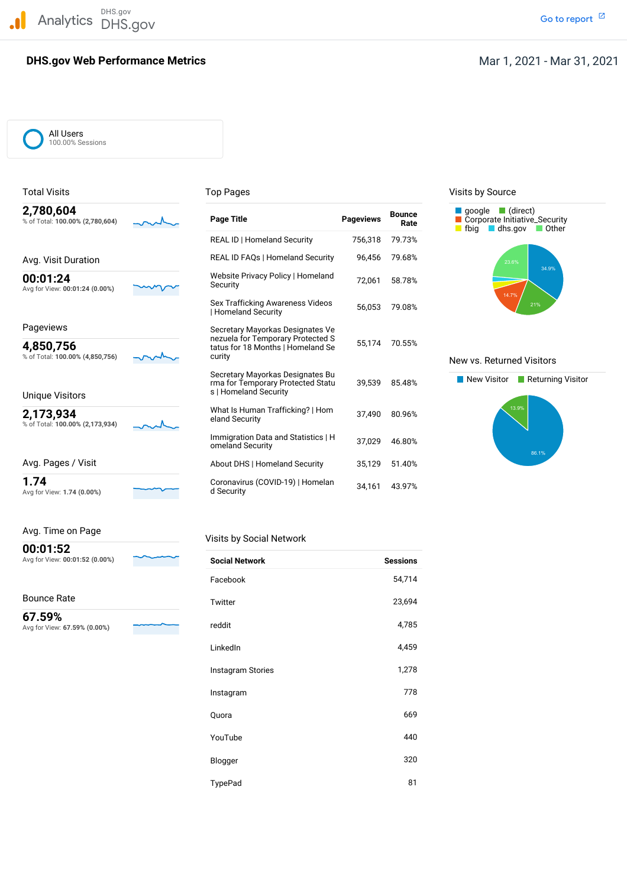DHS.gov Analytics DHS.gov and the contract of the contract of the contract of the contract of the contract of the contract of the contract of the contract of the contract of the contract of the contract of the contract of the cont

# **DHS.gov Web Performance Metrics**

#### All Users 100.00% Sessions

|  | 2,700,004 |  |                                 |  |
|--|-----------|--|---------------------------------|--|
|  |           |  | % of Total: 100.00% (2,780,604) |  |
|  |           |  |                                 |  |

Avg for View: **1.74 (0.00%)** d Security

| Avg. Time on Page |  |
|-------------------|--|
|                   |  |

# **00:01:52**

# Bounce Rate

| 2,780,604<br>% of Total: 100.00% (2,780,604)                                                                                                                                                                                                                                                                                                                                                 | <b>Page Title</b>                                                                              | <b>Pageviews</b> | <b>Bounce</b><br>Rate | $\blacksquare$ (direct)<br>google<br>Corporate Initiative_Security<br>fbia<br>$\blacksquare$ dhs.gov<br><b>Other</b> |
|----------------------------------------------------------------------------------------------------------------------------------------------------------------------------------------------------------------------------------------------------------------------------------------------------------------------------------------------------------------------------------------------|------------------------------------------------------------------------------------------------|------------------|-----------------------|----------------------------------------------------------------------------------------------------------------------|
|                                                                                                                                                                                                                                                                                                                                                                                              | <b>REAL ID   Homeland Security</b>                                                             | 756,318          | 79.73%                |                                                                                                                      |
| Avg. Visit Duration                                                                                                                                                                                                                                                                                                                                                                          | REAL ID FAQs   Homeland Security                                                               | 96,456           | 79.68%                | 23.6%                                                                                                                |
| 00:01:24<br>Avg for View: 00:01:24 (0.00%)                                                                                                                                                                                                                                                                                                                                                   | Website Privacy Policy   Homeland<br>Security                                                  | 72,061           | 58.78%                | 34.9%                                                                                                                |
|                                                                                                                                                                                                                                                                                                                                                                                              | Sex Trafficking Awareness Videos<br>Homeland Security                                          | 56,053           | 79.08%                | 14.7%<br>21%                                                                                                         |
| Pageviews                                                                                                                                                                                                                                                                                                                                                                                    | Secretary Mayorkas Designates Ve                                                               |                  |                       |                                                                                                                      |
| 4,850,756<br>% of Total: 100.00% (4,850,756)                                                                                                                                                                                                                                                                                                                                                 | nezuela for Temporary Protected S<br>tatus for 18 Months   Homeland Se<br>curity               | 55,174           | 70.55%                | New vs. Returned Visitors                                                                                            |
| <b>Unique Visitors</b>                                                                                                                                                                                                                                                                                                                                                                       | Secretary Mayorkas Designates Bu<br>rma for Temporary Protected Statu<br>s   Homeland Security | 39.539           | 85.48%                | New Visitor<br>$\blacksquare$ Returning \                                                                            |
| 2,173,934<br>% of Total: 100.00% (2,173,934)                                                                                                                                                                                                                                                                                                                                                 | What Is Human Trafficking?   Hom<br>eland Security                                             | 37.490           | 80.96%                | 13.9%                                                                                                                |
|                                                                                                                                                                                                                                                                                                                                                                                              | Immigration Data and Statistics   H<br>omeland Security                                        | 37,029           | 46.80%                | 86.1%                                                                                                                |
| Avg. Pages / Visit                                                                                                                                                                                                                                                                                                                                                                           | About DHS   Homeland Security                                                                  | 35,129           | 51.40%                |                                                                                                                      |
| 1.74<br>$\overline{11}$ $\overline{1}$ $\overline{1}$ $\overline{1}$ $\overline{1}$ $\overline{1}$ $\overline{1}$ $\overline{1}$ $\overline{1}$ $\overline{1}$ $\overline{1}$ $\overline{1}$ $\overline{1}$ $\overline{1}$ $\overline{1}$ $\overline{1}$ $\overline{1}$ $\overline{1}$ $\overline{1}$ $\overline{1}$ $\overline{1}$ $\overline{1}$ $\overline{1}$ $\overline{1}$ $\overline$ | Coronavirus (COVID-19)   Homelan<br>$\overline{d}$ Coourity                                    | 34,161           | 43.97%                |                                                                                                                      |

### Visits by Social Network

| 00.U I .UL<br>Avg for View: 00:01:52 (0.00%) | <b>Social Network</b> | <b>Sessions</b> |
|----------------------------------------------|-----------------------|-----------------|
|                                              | Facebook              | 54,714          |
| Bounce Rate                                  | Twitter               | 23,694          |
| 67.59%<br>Avg for View: 67.59% (0.00%)       | reddit                | 4,785           |
|                                              | LinkedIn              | 4,459           |
|                                              | Instagram Stories     | 1,278           |
|                                              | Instagram             | 778             |
|                                              | Quora                 | 669             |
|                                              | YouTube               | 440             |
|                                              | Blogger               | 320             |
|                                              | TypePad               | 81              |

### Total Visits **Top Pages** Top Pages Top Pages Visits by Source



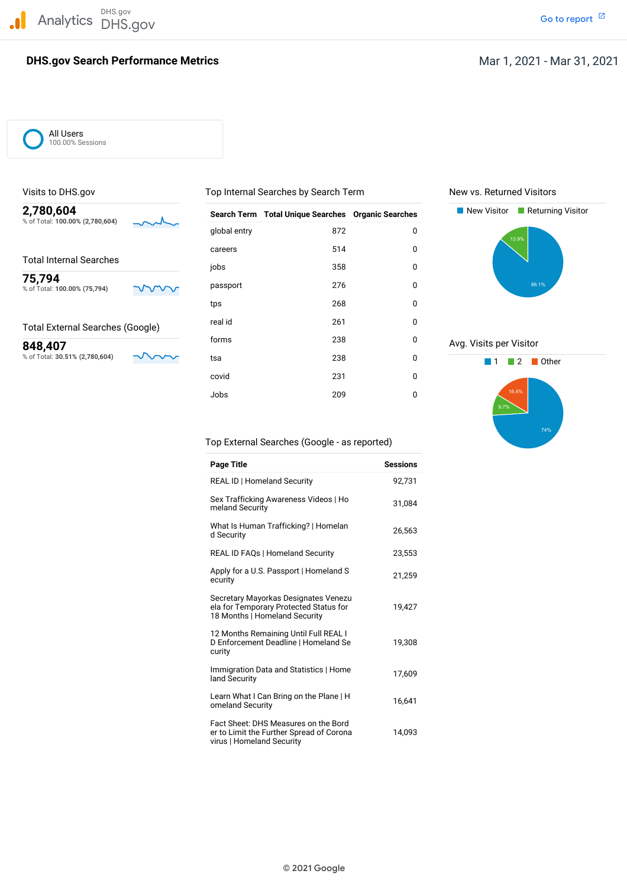DHS.gov Analytics DHS.gov and the contract of the contract of the contract of the contract of the contract of the contract of the contract of the contract of the contract of the contract of the contract of the contract of the cont

# **DHS.gov Search Performance Metrics**

All Users 100.00% Sessions

| 2,780,604<br>% of Total: 100.00% (2,780,604) |     |              | Search Term Total Unique Searches Organic Searches |             | New Visitor<br>Returning Visitor |
|----------------------------------------------|-----|--------------|----------------------------------------------------|-------------|----------------------------------|
|                                              |     | global entry | 872                                                | $\mathbf 0$ | 13.9%                            |
|                                              |     | careers      | 514                                                | 0           |                                  |
| <b>Total Internal Searches</b>               |     | jobs         | 358                                                | 0           |                                  |
| 75,794<br>% of Total: 100.00% (75,794)       | www | passport     | 276                                                | 0           | 86.1%                            |
|                                              |     | tps          | 268                                                | 0           |                                  |
| <b>Total External Searches (Google)</b>      |     | real id      | 261                                                | 0           |                                  |
| 848,407                                      |     | forms        | 238                                                | 0           | Avg. Visits per Visitor          |
| % of Total: 30.51% (2,780,604)               |     | tsa          | 238                                                | 0           | Other                            |
|                                              |     | covid        | 231                                                | 0           |                                  |
|                                              |     | Jobs         | 209                                                | 0           | 16.4%                            |

Visits to DHS.gov **The Community Community Community** Top Internal Searches by Search Term New vs. Returned Visitors





Top External Searches (Google - as reported)

| <b>Page Title</b>                                                                                               | <b>Sessions</b> |
|-----------------------------------------------------------------------------------------------------------------|-----------------|
| <b>REAL ID   Homeland Security</b>                                                                              | 92.731          |
| Sex Trafficking Awareness Videos   Ho<br>meland Security                                                        | 31,084          |
| What Is Human Trafficking?   Homelan<br>d Security                                                              | 26,563          |
| <b>REAL ID FAQs   Homeland Security</b>                                                                         | 23,553          |
| Apply for a U.S. Passport   Homeland S<br>ecurity                                                               | 21,259          |
| Secretary Mayorkas Designates Venezu<br>ela for Temporary Protected Status for<br>18 Months   Homeland Security | 19,427          |
| 12 Months Remaining Until Full REAL I<br>D Enforcement Deadline   Homeland Se<br>curity                         | 19,308          |
| Immigration Data and Statistics   Home<br>land Security                                                         | 17,609          |
| Learn What I Can Bring on the Plane   H<br>omeland Security                                                     | 16,641          |
| Fact Sheet: DHS Measures on the Bord<br>er to Limit the Further Spread of Corona<br>virus   Homeland Security   | 14,093          |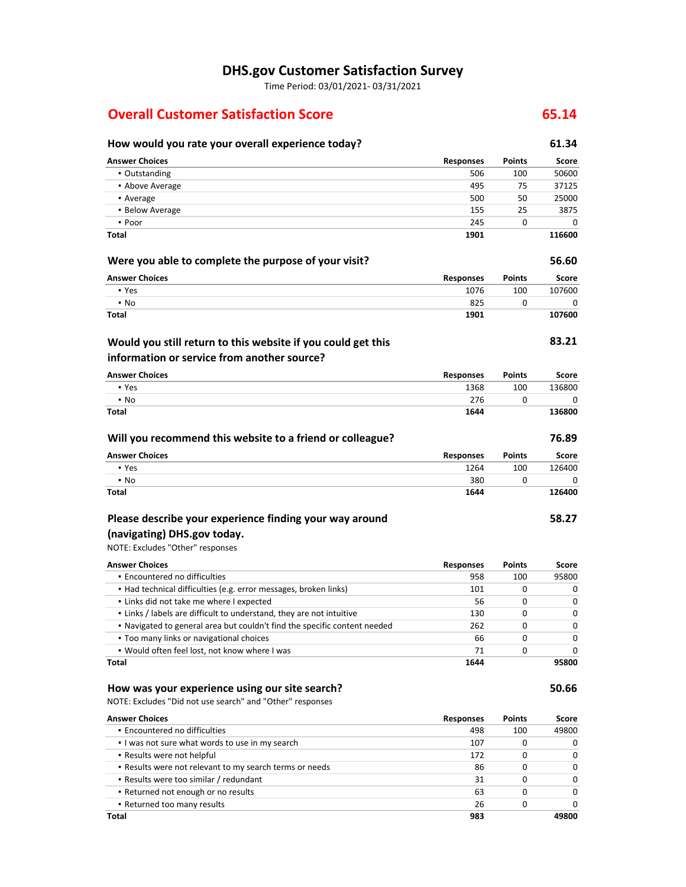# **DHS.gov Customer Satisfaction Survey**

Time Period: 03/01/2021‐ 03/31/2021

# **Overall Customer Satisfaction Score 65.14**

#### **How would you rate your overall experience today? 61.34 Were you able to complete the purpose of your visit? Will you recommend this website to a friend or colleague? Would you still return to this website if you could get this information or service from another source? Answer Choices Responses Points Score** ▪ Outstanding 506 100 50600 **• Above Average 1998** 125 and 126 and 126 and 127 and 128 and 129 and 129 and 129 and 129 and 129 and 129 and 129 and 129 and 129 and 129 and 129 and 129 and 129 and 129 and 129 and 129 and 129 and 129 and 129 and 129 and ▪ Average 500 50 25000 **Example 25** 155 25 3875  $\bullet$  Poor 245 0 0 0 **Total Answer Choices** ▪ Yes ▪ No **Total Answer Choices** ▪ Yes ▪ No **Total Answer Choices** ▪ Yes ▪ No **Total 1901 Responses** 1076 825 **1901 Responses** 1368 276 **1644 Responses** 1264 380 **1644 Points** 100 0 **Points** 100 0 **Points** 100 0 **116600 56.60 Score** 107600 **107600 83.21 Score** 136800 **136800 76.89 Score** 126400 **126400**

# **Please describe your experience finding your way around (navigating) DHS.gov today.**

# NOTE: Excludes "Other" responses

**Encountered no difficulties**  ▪ Had technical difficulties (e.g. error messages, broken links) **.** Links did not take me where I expected **•** Links / labels are difficult to understand, they are not intuitive ▪ Navigated to general area but couldn't find the specific content needed **Too many links or navigational choices**  ▪ Would often feel lost, not know where I was **Answer Choices Responses** 958 **Points** 100 **Score** 95800 **Total** 101 56 130 262 66 71 **1644** 0 0  $\Omega$ 0 0 0 0 0 0 0 0 0 **95800**

#### **How was your experience using our site search?**

NOTE: Excludes "Did not use search" and "Other" responses

| <b>Answer Choices</b>                                   | <b>Responses</b> | <b>Points</b> | Score        |
|---------------------------------------------------------|------------------|---------------|--------------|
| • Encountered no difficulties                           | 498              | 100           | 49800        |
| I was not sure what words to use in my search           | 107              |               | 0            |
| • Results were not helpful                              | 172              |               | <sup>0</sup> |
| . Results were not relevant to my search terms or needs | 86               | 0             | <sup>0</sup> |
| . Results were too similar / redundant                  | 31               |               | 0            |
| • Returned not enough or no results                     | 63               |               | U            |
| • Returned too many results                             | 26               |               | n            |
| Total                                                   | 983              |               | 49800        |

 $\Omega$ 

 $\theta$ 

 $\overline{0}$ 

**58.27**

**50.66**